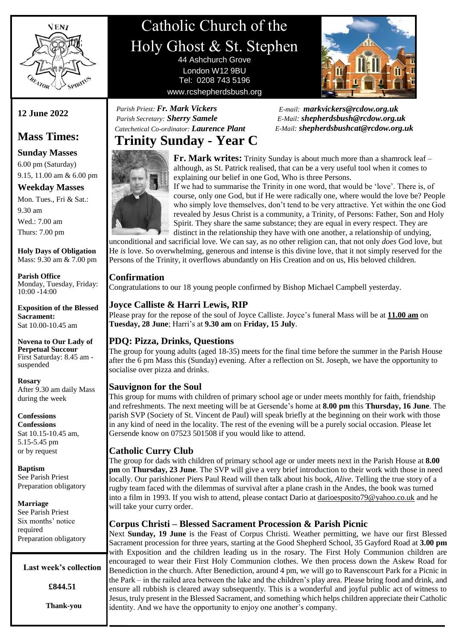

# Catholic Church of the Holy Ghost & St. Stephen 44 Ashchurch Grove

London W12 9BU Tel: 0208 743 5196 www.rcshepherdsbush.org



 *E-mail: [markvickers@rcdow.org.uk](mailto:markvickers@rcdow.org.uk)* *E-Mail: [shepherdsbush@rcdow.org.uk](mailto:shepherdsbush@rcdow.org.uk) E-Mail: shepherdsbushcat@rcdow.org.uk*

### **Trinity Sunday - Year C**  *Catechetical Co-ordinator: Laurence Plant*

 *Parish Priest: Fr. Mark Vickers Parish Secretary: Sherry Samele*

**Fr. Mark writes:** Trinity Sunday is about much more than a shamrock leaf – although, as St. Patrick realised, that can be a very useful tool when it comes to explaining our belief in one God, Who is three Persons.

If we had to summarise the Trinity in one word, that would be 'love'. There is, of course, only one God, but if He were radically one, where would the love be? People who simply love themselves, don't tend to be very attractive. Yet within the one God revealed by Jesus Christ is a community, a Trinity, of Persons: Father, Son and Holy Spirit. They share the same substance; they are equal in every respect. They are distinct in the relationship they have with one another, a relationship of undying,

unconditional and sacrificial love. We can say, as no other religion can, that not only *does* God love, but He *is* love. So overwhelming, generous and intense is this divine love, that it not simply reserved for the Persons of the Trinity, it overflows abundantly on His Creation and on us, His beloved children.

#### **Confirmation**

Congratulations to our 18 young people confirmed by Bishop Michael Campbell yesterday.

#### **Joyce Calliste & Harri Lewis, RIP**

Please pray for the repose of the soul of Joyce Calliste. Joyce's funeral Mass will be at **11.00 am** on **Tuesday, 28 June**; Harri's at **9.30 am** on **Friday, 15 July**.

#### **PDQ: Pizza, Drinks, Questions**

The group for young adults (aged 18-35) meets for the final time before the summer in the Parish House after the 6 pm Mass this (Sunday) evening. After a reflection on St. Joseph, we have the opportunity to socialise over pizza and drinks.

#### **Sauvignon for the Soul**

This group for mums with children of primary school age or under meets monthly for faith, friendship and refreshments. The next meeting will be at Gersende's home at **8.00 pm** this **Thursday, 16 June**. The parish SVP (Society of St. Vincent de Paul) will speak briefly at the beginning on their work with those in any kind of need in the locality. The rest of the evening will be a purely social occasion. Please let Gersende know on 07523 501508 if you would like to attend.

#### **Catholic Curry Club**

The group for dads with children of primary school age or under meets next in the Parish House at **8.00 pm** on **Thursday, 23 June**. The SVP will give a very brief introduction to their work with those in need locally. Our parishioner Piers Paul Read will then talk about his book, *Alive*. Telling the true story of a rugby team faced with the dilemmas of survival after a plane crash in the Andes, the book was turned into a film in 1993. If you wish to attend, please contact Dario at [darioesposito79@yahoo.co.uk](mailto:darioesposito79@yahoo.co.uk) and he will take your curry order.

#### **Corpus Christi – Blessed Sacrament Procession & Parish Picnic**

Next **Sunday, 19 June** is the Feast of Corpus Christi. Weather permitting, we have our first Blessed Sacrament procession for three years, starting at the Good Shepherd School, 35 Gayford Road at **3.00 pm** with Exposition and the children leading us in the rosary. The First Holy Communion children are encouraged to wear their First Holy Communion clothes. We then process down the Askew Road for Benediction in the church. After Benediction, around 4 pm, we will go to Ravenscourt Park for a Picnic in the Park – in the railed area between the lake and the children's play area. Please bring food and drink, and ensure all rubbish is cleared away subsequently. This is a wonderful and joyful public act of witness to Jesus, truly present in the Blessed Sacrament, and something which helps children appreciate their Catholic identity. And we have the opportunity to enjoy one another's company.

## **12 June 2022**

# **Mass Times:**

**Sunday Masses** 6.00 pm (Saturday) 9.15, 11.00 am & 6.00 pm

#### **Weekday Masses**

Mon. Tues., Fri & Sat.: 9.30 am Wed.: 7.00 am Thurs: 7.00 pm

**Holy Days of Obligation** Mass: 9.30 am & 7.00 pm

**Parish Office** Monday, Tuesday, Friday: 10:00 -14:00

**Exposition of the Blessed Sacrament:** Sat 10.00-10.45 am

**Novena to Our Lady of Perpetual Succour** First Saturday: 8.45 am suspended

**Rosary** After 9.30 am daily Mass during the week

**Confessions**

**Confessions** Sat 10.15-10.45 am, 5.15-5.45 pm or by request

**Baptism** See Parish Priest Preparation obligatory

**Marriage**

See Parish Priest Six months' notice required Preparation obligatory

#### **Last week's collection**

**£844.51**

**Thank-you**